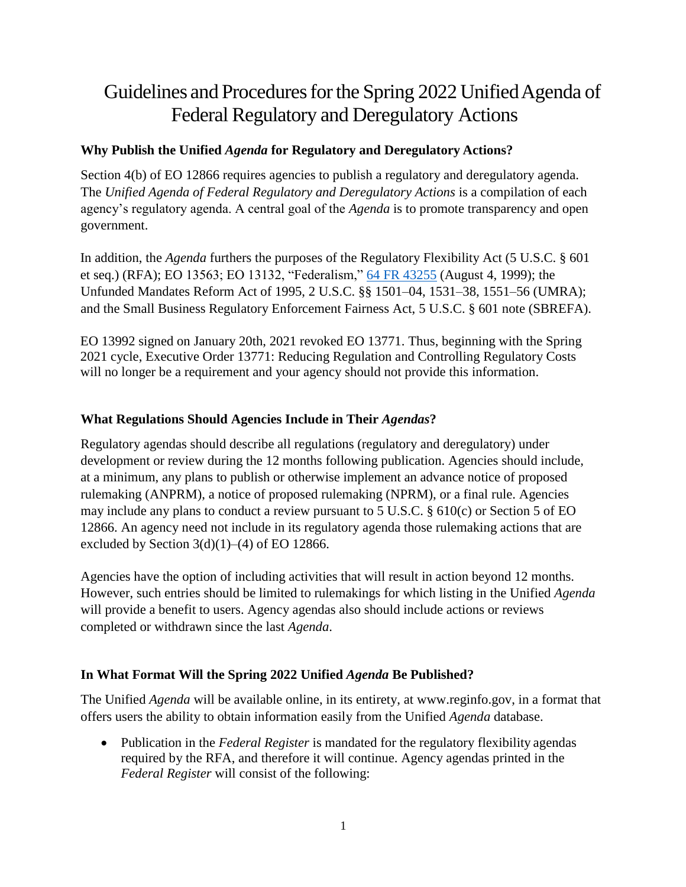# Guidelines and Procedures for the Spring 2022 Unified Agenda of Federal Regulatory and Deregulatory Actions

# **Why Publish the Unified** *Agenda* **for Regulatory and Deregulatory Actions?**

Section 4(b) of EO 12866 requires agencies to publish a regulatory and deregulatory agenda. The *Unified Agenda of Federal Regulatory and Deregulatory Actions* is a compilation of each agency's regulatory agenda. A central goal of the *Agenda* is to promote transparency and open government.

In addition, the *Agenda* furthers the purposes of the Regulatory Flexibility Act (5 U.S.C. § 601 et seq.) (RFA); EO 13563; EO 13132, "Federalism," [64 FR](https://www.gpo.gov/fdsys/pkg/FR-1999-08-10/pdf/99-20729.pdf) 43255 (August 4, 1999); the Unfunded Mandates Reform Act of 1995, 2 U.S.C. §§ 1501–04, 1531–38, 1551–56 (UMRA); and the Small Business Regulatory Enforcement Fairness Act, 5 U.S.C. § 601 note (SBREFA).

EO 13992 signed on January 20th, 2021 revoked EO 13771. Thus, beginning with the Spring 2021 cycle, Executive Order 13771: Reducing Regulation and Controlling Regulatory Costs will no longer be a requirement and your agency should not provide this information.

## **What Regulations Should Agencies Include in Their** *Agendas***?**

Regulatory agendas should describe all regulations (regulatory and deregulatory) under development or review during the 12 months following publication. Agencies should include, at a minimum, any plans to publish or otherwise implement an advance notice of proposed rulemaking (ANPRM), a notice of proposed rulemaking (NPRM), or a final rule. Agencies may include any plans to conduct a review pursuant to 5 U.S.C. § 610(c) or Section 5 of EO 12866. An agency need not include in its regulatory agenda those rulemaking actions that are excluded by Section  $3(d)(1)–(4)$  of EO 12866.

Agencies have the option of including activities that will result in action beyond 12 months. However, such entries should be limited to rulemakings for which listing in the Unified *Agenda* will provide a benefit to users. Agency agendas also should include actions or reviews completed or withdrawn since the last *Agenda*.

## **In What Format Will the Spring 2022 Unified** *Agenda* **Be Published?**

The Unified *Agenda* will be available online, in its entirety, at [www.reginfo.gov, i](http://www.reginfo.gov/)n a format that offers users the ability to obtain information easily from the Unified *Agenda* database.

 Publication in the *Federal Register* is mandated for the regulatory flexibility agendas required by the RFA, and therefore it will continue. Agency agendas printed in the *Federal Register* will consist of the following: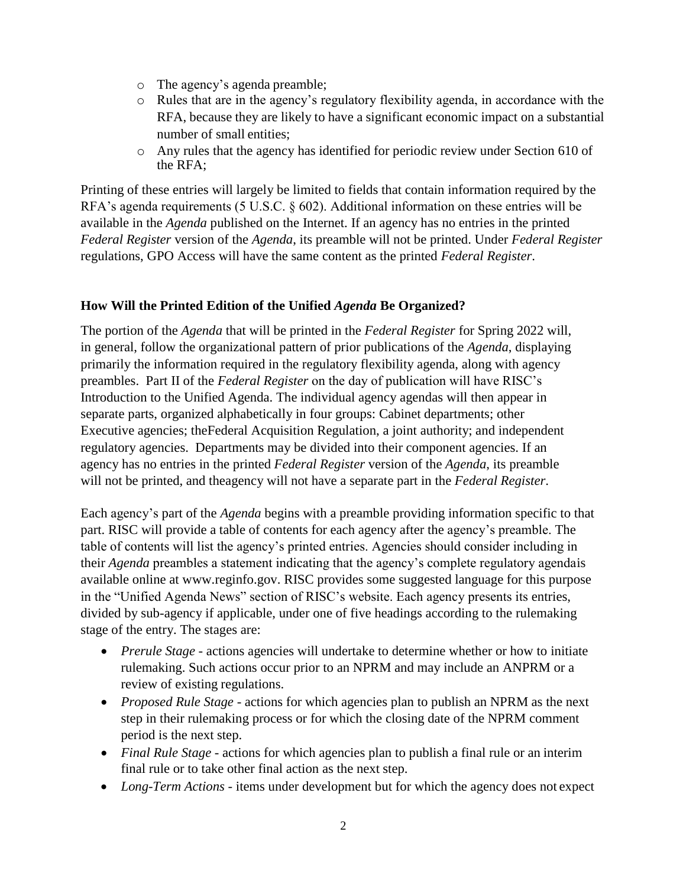- o The agency's agenda preamble;
- $\circ$  Rules that are in the agency's regulatory flexibility agenda, in accordance with the RFA, because they are likely to have a significant economic impact on a substantial number of small entities;
- o Any rules that the agency has identified for periodic review under Section 610 of the RFA;

Printing of these entries will largely be limited to fields that contain information required by the RFA's agenda requirements (5 U.S.C. § 602). Additional information on these entries will be available in the *Agenda* published on the Internet. If an agency has no entries in the printed *Federal Register* version of the *Agenda*, its preamble will not be printed. Under *Federal Register* regulations, GPO Access will have the same content as the printed *Federal Register*.

## **How Will the Printed Edition of the Unified** *Agenda* **Be Organized?**

The portion of the *Agenda* that will be printed in the *Federal Register* for Spring 2022 will, in general, follow the organizational pattern of prior publications of the *Agenda*, displaying primarily the information required in the regulatory flexibility agenda, along with agency preambles. Part II of the *Federal Register* on the day of publication will have RISC's Introduction to the Unified Agenda. The individual agency agendas will then appear in separate parts, organized alphabetically in four groups: Cabinet departments; other Executive agencies; theFederal Acquisition Regulation, a joint authority; and independent regulatory agencies. Departments may be divided into their component agencies. If an agency has no entries in the printed *Federal Register* version of the *Agenda*, its preamble will not be printed, and theagency will not have a separate part in the *Federal Register*.

Each agency's part of the *Agenda* begins with a preamble providing information specific to that part. RISC will provide a table of contents for each agency after the agency's preamble. The table of contents will list the agency's printed entries. Agencies should consider including in their *Agenda* preambles a statement indicating that the agency's complete regulatory agendais available online at [www.reginfo.gov. R](http://www.reginfo.gov/)ISC provides some suggested language for this purpose in the "Unified Agenda News" section of RISC's website. Each agency presents its entries, divided by sub-agency if applicable, under one of five headings according to the rulemaking stage of the entry. The stages are:

- *Prerule Stage*  actions agencies will undertake to determine whether or how to initiate rulemaking. Such actions occur prior to an NPRM and may include an ANPRM or a review of existing regulations.
- *Proposed Rule Stage* actions for which agencies plan to publish an NPRM as the next step in their rulemaking process or for which the closing date of the NPRM comment period is the next step.
- *Final Rule Stage* actions for which agencies plan to publish a final rule or an interim final rule or to take other final action as the next step.
- *Long-Term Actions* items under development but for which the agency does not expect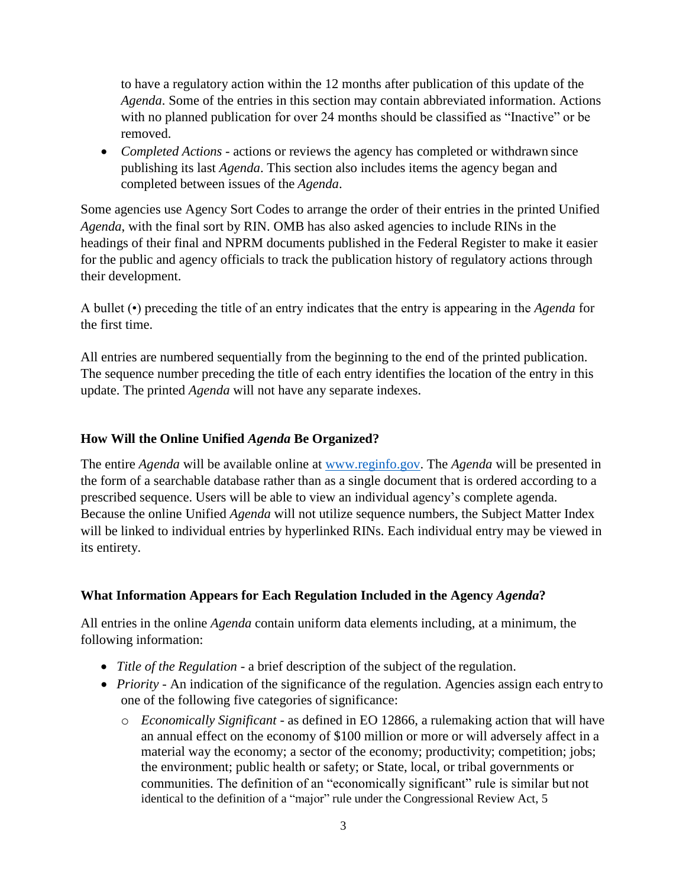to have a regulatory action within the 12 months after publication of this update of the *Agenda*. Some of the entries in this section may contain abbreviated information. Actions with no planned publication for over 24 months should be classified as "Inactive" or be removed.

 *Completed Actions* - actions or reviews the agency has completed or withdrawn since publishing its last *Agenda*. This section also includes items the agency began and completed between issues of the *Agenda*.

Some agencies use Agency Sort Codes to arrange the order of their entries in the printed Unified *Agenda*, with the final sort by RIN. OMB has also asked agencies to include RINs in the headings of their final and NPRM documents published in the Federal Register to make it easier for the public and agency officials to track the publication history of regulatory actions through their development.

A bullet (•) preceding the title of an entry indicates that the entry is appearing in the *Agenda* for the first time.

All entries are numbered sequentially from the beginning to the end of the printed publication. The sequence number preceding the title of each entry identifies the location of the entry in this update. The printed *Agenda* will not have any separate indexes.

## **How Will the Online Unified** *Agenda* **Be Organized?**

The entire *Agenda* will be available online at [www.reginfo.gov.](file:///C:/Users/liberante_w/AppData/Local/Microsoft/Windows/INetCache/Content.Outlook/7FFFE3HR/www.reginfo.gov) The *Agenda* will be presented in the form of a searchable database rather than as a single document that is ordered according to a prescribed sequence. Users will be able to view an individual agency's complete agenda. Because the online Unified *Agenda* will not utilize sequence numbers, the Subject Matter Index will be linked to individual entries by hyperlinked RINs. Each individual entry may be viewed in its entirety.

## **What Information Appears for Each Regulation Included in the Agency** *Agenda***?**

All entries in the online *Agenda* contain uniform data elements including, at a minimum, the following information:

- *Title of the Regulation*  a brief description of the subject of the regulation.
- *Priority* An indication of the significance of the regulation. Agencies assign each entry to one of the following five categories of significance:
	- o *Economically Significant*  as defined in EO 12866, a rulemaking action that will have an annual effect on the economy of \$100 million or more or will adversely affect in a material way the economy; a sector of the economy; productivity; competition; jobs; the environment; public health or safety; or State, local, or tribal governments or communities. The definition of an "economically significant" rule is similar but not identical to the definition of a "major" rule under the Congressional Review Act, 5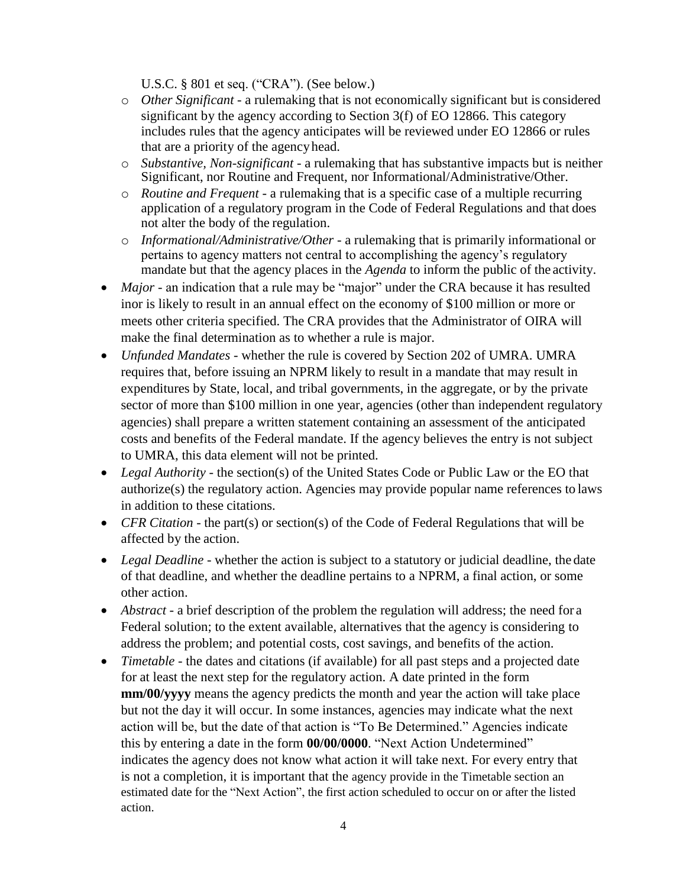U.S.C. § 801 et seq. ("CRA"). (See below.)

- o *Other Significant* a rulemaking that is not economically significant but is considered significant by the agency according to Section 3(f) of EO 12866. This category includes rules that the agency anticipates will be reviewed under EO 12866 or rules that are a priority of the agencyhead.
- o *Substantive, Non-significant*  a rulemaking that has substantive impacts but is neither Significant, nor Routine and Frequent, nor Informational/Administrative/Other.
- o *Routine and Frequent*  a rulemaking that is a specific case of a multiple recurring application of a regulatory program in the Code of Federal Regulations and that does not alter the body of the regulation.
- o *Informational/Administrative/Other*  a rulemaking that is primarily informational or pertains to agency matters not central to accomplishing the agency's regulatory mandate but that the agency places in the *Agenda* to inform the public of the activity.
- Major an indication that a rule may be "major" under the CRA because it has resulted inor is likely to result in an annual effect on the economy of \$100 million or more or meets other criteria specified. The CRA provides that the Administrator of OIRA will make the final determination as to whether a rule is major.
- *Unfunded Mandates*  whether the rule is covered by Section 202 of UMRA. UMRA requires that, before issuing an NPRM likely to result in a mandate that may result in expenditures by State, local, and tribal governments, in the aggregate, or by the private sector of more than \$100 million in one year, agencies (other than independent regulatory agencies) shall prepare a written statement containing an assessment of the anticipated costs and benefits of the Federal mandate. If the agency believes the entry is not subject to UMRA, this data element will not be printed.
- Legal Authority the section(s) of the United States Code or Public Law or the EO that authorize(s) the regulatory action. Agencies may provide popular name references to laws in addition to these citations.
- *CFR Citation* the part(s) or section(s) of the Code of Federal Regulations that will be affected by the action.
- *Legal Deadline* whether the action is subject to a statutory or judicial deadline, the date of that deadline, and whether the deadline pertains to a NPRM, a final action, or some other action.
- *Abstract*  a brief description of the problem the regulation will address; the need for a Federal solution; to the extent available, alternatives that the agency is considering to address the problem; and potential costs, cost savings, and benefits of the action.
- *Timetable* the dates and citations (if available) for all past steps and a projected date for at least the next step for the regulatory action. A date printed in the form **mm/00/yyyy** means the agency predicts the month and year the action will take place but not the day it will occur. In some instances, agencies may indicate what the next action will be, but the date of that action is "To Be Determined." Agencies indicate this by entering a date in the form **00/00/0000**. "Next Action Undetermined" indicates the agency does not know what action it will take next. For every entry that is not a completion, it is important that the agency provide in the Timetable section an estimated date for the "Next Action", the first action scheduled to occur on or after the listed action.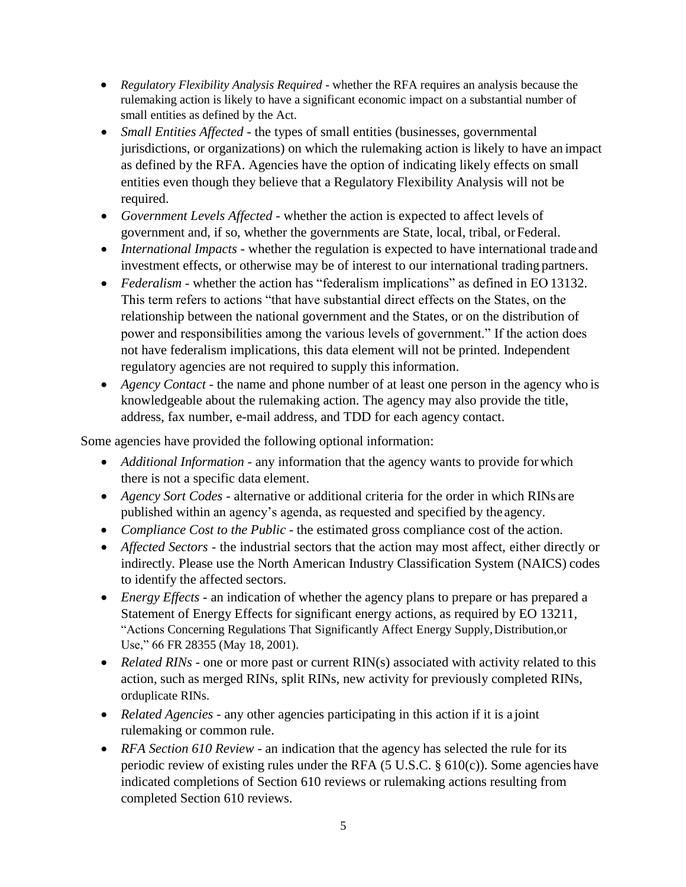- *Regulatory Flexibility Analysis Required* whether the RFA requires an analysis because the rulemaking action is likely to have a significant economic impact on a substantial number of small entities as defined by the Act.
- *Small Entities Affected*  the types of small entities (businesses, governmental jurisdictions, or organizations) on which the rulemaking action is likely to have an impact as defined by the RFA. Agencies have the option of indicating likely effects on small entities even though they believe that a Regulatory Flexibility Analysis will not be required.
- *Government Levels Affected*  whether the action is expected to affect levels of government and, if so, whether the governments are State, local, tribal, orFederal.
- *International Impacts*  whether the regulation is expected to have international trade and investment effects, or otherwise may be of interest to our international trading partners.
- *Federalism*  whether the action has "federalism implications" as defined in EO 13132. This term refers to actions "that have substantial direct effects on the States, on the relationship between the national government and the States, or on the distribution of power and responsibilities among the various levels of government." If the action does not have federalism implications, this data element will not be printed. Independent regulatory agencies are not required to supply this information.
- *Agency Contact*  the name and phone number of at least one person in the agency who is knowledgeable about the rulemaking action. The agency may also provide the title, address, fax number, e-mail address, and TDD for each agency contact.

Some agencies have provided the following optional information:

- *Additional Information* any information that the agency wants to provide forwhich there is not a specific data element.
- *Agency Sort Codes*  alternative or additional criteria for the order in which RINs are published within an agency's agenda, as requested and specified by the agency.
- *Compliance Cost to the Public* the estimated gross compliance cost of the action.
- *Affected Sectors*  the industrial sectors that the action may most affect, either directly or indirectly. Please use the North American Industry Classification System (NAICS) codes to identify the affected sectors.
- *Energy Effects*  an indication of whether the agency plans to prepare or has prepared a Statement of Energy Effects for significant energy actions, as required by EO 13211, "Actions Concerning Regulations That Significantly Affect Energy Supply,Distribution,or Use," 66 FR 28355 (May 18, 2001).
- *Related RINs* one or more past or current RIN(s) associated with activity related to this action, such as merged RINs, split RINs, new activity for previously completed RINs, orduplicate RINs.
- *Related Agencies* any other agencies participating in this action if it is a joint rulemaking or common rule.
- *RFA Section 610 Review* an indication that the agency has selected the rule for its periodic review of existing rules under the RFA  $(5 \text{ U.S.C.} \$   $610(c))$ . Some agencies have indicated completions of Section 610 reviews or rulemaking actions resulting from completed Section 610 reviews.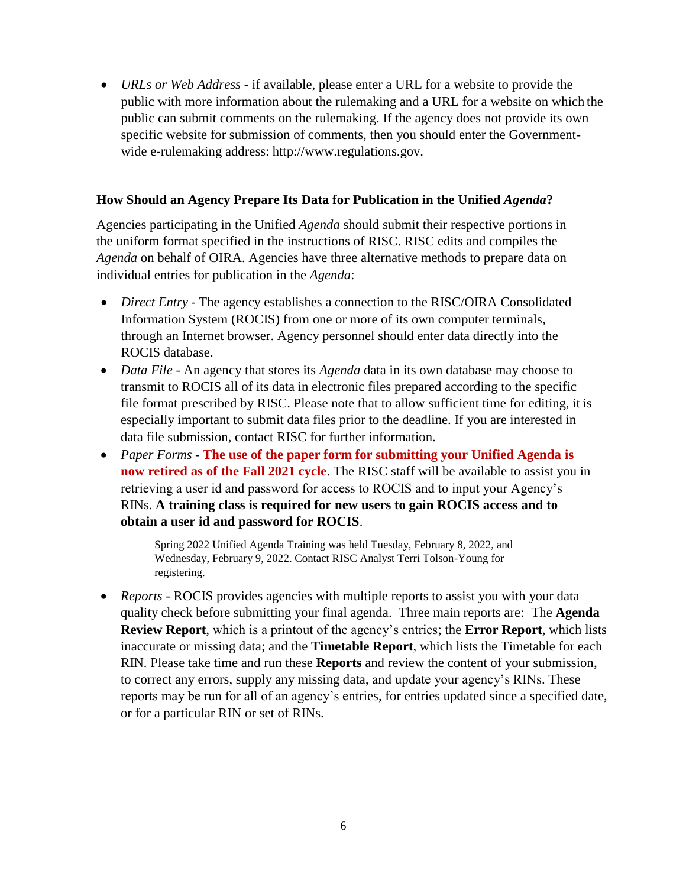*URLs or Web Address* - if available, please enter a URL for a website to provide the public with more information about the rulemaking and a URL for a website on which the public can submit comments on the rulemaking. If the agency does not provide its own specific website for submission of comments, then you should enter the Governmentwide e-rulemaking address: [http://www.regulations.gov.](http://www.regulations.gov/)

#### **How Should an Agency Prepare Its Data for Publication in the Unified** *Agenda***?**

Agencies participating in the Unified *Agenda* should submit their respective portions in the uniform format specified in the instructions of RISC. RISC edits and compiles the *Agenda* on behalf of OIRA. Agencies have three alternative methods to prepare data on individual entries for publication in the *Agenda*:

- *Direct Entry* The agency establishes a connection to the RISC/OIRA Consolidated Information System (ROCIS) from one or more of its own computer terminals, through an Internet browser. Agency personnel should enter data directly into the ROCIS database.
- *Data File An agency that stores its <i>Agenda* data in its own database may choose to transmit to ROCIS all of its data in electronic files prepared according to the specific file format prescribed by RISC. Please note that to allow sufficient time for editing, it is especially important to submit data files prior to the deadline. If you are interested in data file submission, contact RISC for further information.
- *Paper Forms* **The use of the paper form for submitting your Unified Agenda is now retired as of the Fall 2021 cycle**. The RISC staff will be available to assist you in retrieving a user id and password for access to ROCIS and to input your Agency's RINs. **A training class is required for new users to gain ROCIS access and to obtain a user id and password for ROCIS**.

Spring 2022 Unified Agenda Training was held Tuesday, February 8, 2022, and Wednesday, February 9, 2022. Contact RISC Analyst Terri Tolson-Young for registering.

 *Reports* - ROCIS provides agencies with multiple reports to assist you with your data quality check before submitting your final agenda. Three main reports are: The **Agenda Review Report**, which is a printout of the agency's entries; the **Error Report**, which lists inaccurate or missing data; and the **Timetable Report**, which lists the Timetable for each RIN. Please take time and run these **Reports** and review the content of your submission, to correct any errors, supply any missing data, and update your agency's RINs. These reports may be run for all of an agency's entries, for entries updated since a specified date, or for a particular RIN or set of RINs.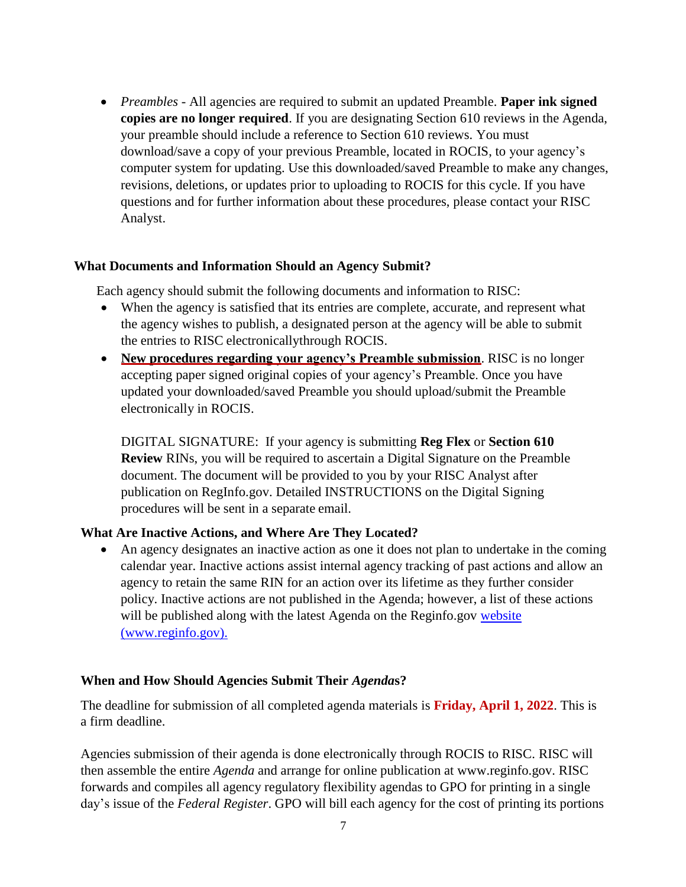*Preambles* - All agencies are required to submit an updated Preamble. **Paper ink signed copies are no longer required**. If you are designating Section 610 reviews in the Agenda, your preamble should include a reference to Section 610 reviews. You must download/save a copy of your previous Preamble, located in ROCIS, to your agency's computer system for updating. Use this downloaded/saved Preamble to make any changes, revisions, deletions, or updates prior to uploading to ROCIS for this cycle. If you have questions and for further information about these procedures, please contact your RISC Analyst.

#### **What Documents and Information Should an Agency Submit?**

Each agency should submit the following documents and information to RISC:

- When the agency is satisfied that its entries are complete, accurate, and represent what the agency wishes to publish, a designated person at the agency will be able to submit the entries to RISC electronicallythrough ROCIS.
- **New procedures regarding your agency's Preamble submission**. RISC is no longer accepting paper signed original copies of your agency's Preamble. Once you have updated your downloaded/saved Preamble you should upload/submit the Preamble electronically in ROCIS.

DIGITAL SIGNATURE: If your agency is submitting **Reg Flex** or **Section 610 Review** RINs, you will be required to ascertain a Digital Signature on the Preamble document. The document will be provided to you by your RISC Analyst after publication on RegInfo.gov. Detailed INSTRUCTIONS on the Digital Signing procedures will be sent in a separate email.

#### **What Are Inactive Actions, and Where Are They Located?**

 An agency designates an inactive action as one it does not plan to undertake in the coming calendar year. Inactive actions assist internal agency tracking of past actions and allow an agency to retain the same RIN for an action over its lifetime as they further consider policy. Inactive actions are not published in the Agenda; however, a list of these actions will be published along with the latest Agenda on the Reginfo.gov [website](https://www.reginfo.gov/public/do/eAgendaInactive) [\(www.reginfo.gov\).](http://www.reginfo.gov/)

#### **When and How Should Agencies Submit Their** *Agenda***s?**

The deadline for submission of all completed agenda materials is **Friday, April 1, 2022**. This is a firm deadline.

Agencies submission of their agenda is done electronically through ROCIS to RISC. RISC will then assemble the entire *Agenda* and arrange for online publication at [www.reginfo.gov. RI](http://www.reginfo.gov/)SC forwards and compiles all agency regulatory flexibility agendas to GPO for printing in a single day's issue of the *Federal Register*. GPO will bill each agency for the cost of printing its portions